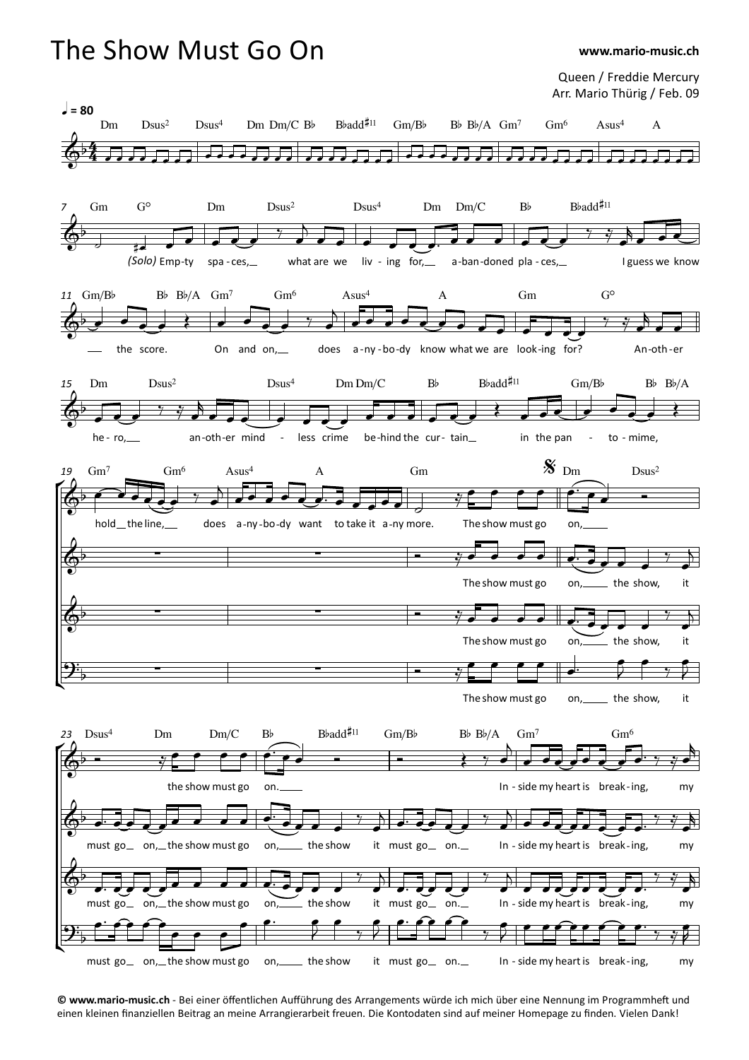

**<sup>©</sup> www.mario-music.ch** - Bei einer öffentlichen Aufführung des Arrangements würde ich mich über eine Nennung im Programmhe' und einen kleinen finanziellen Beitrag an meine Arrangierarbeit freuen. Die Kontodaten sind aufmeiner Homepage zu finden. Vielen Dank!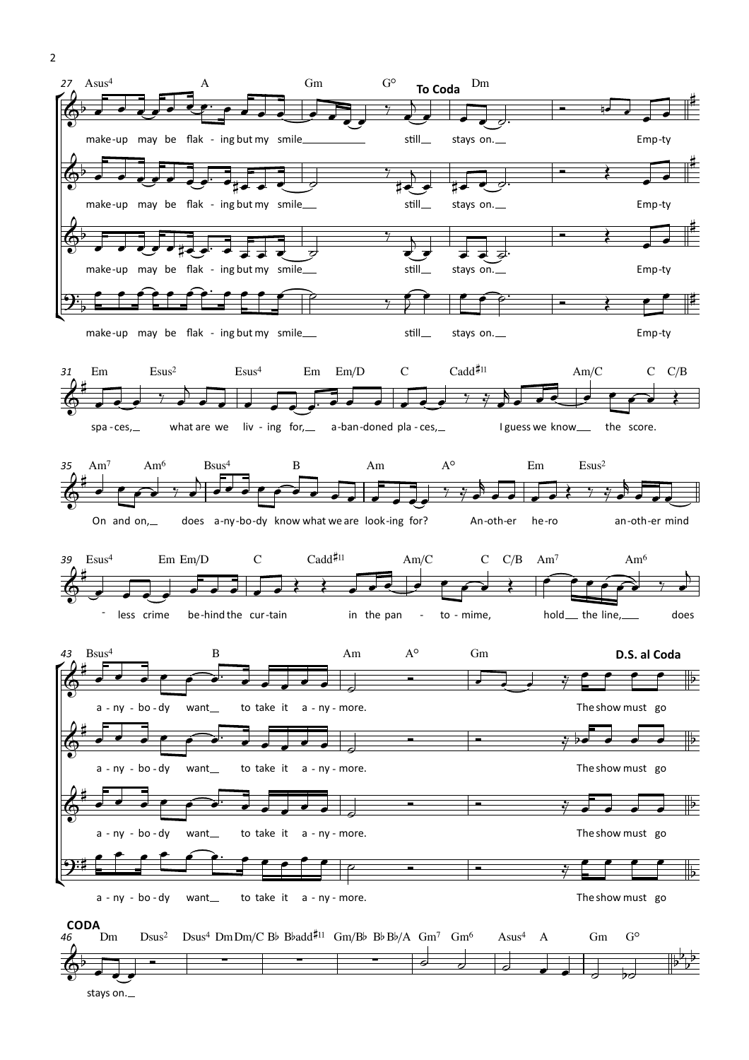

<sup>2</sup>

stays on.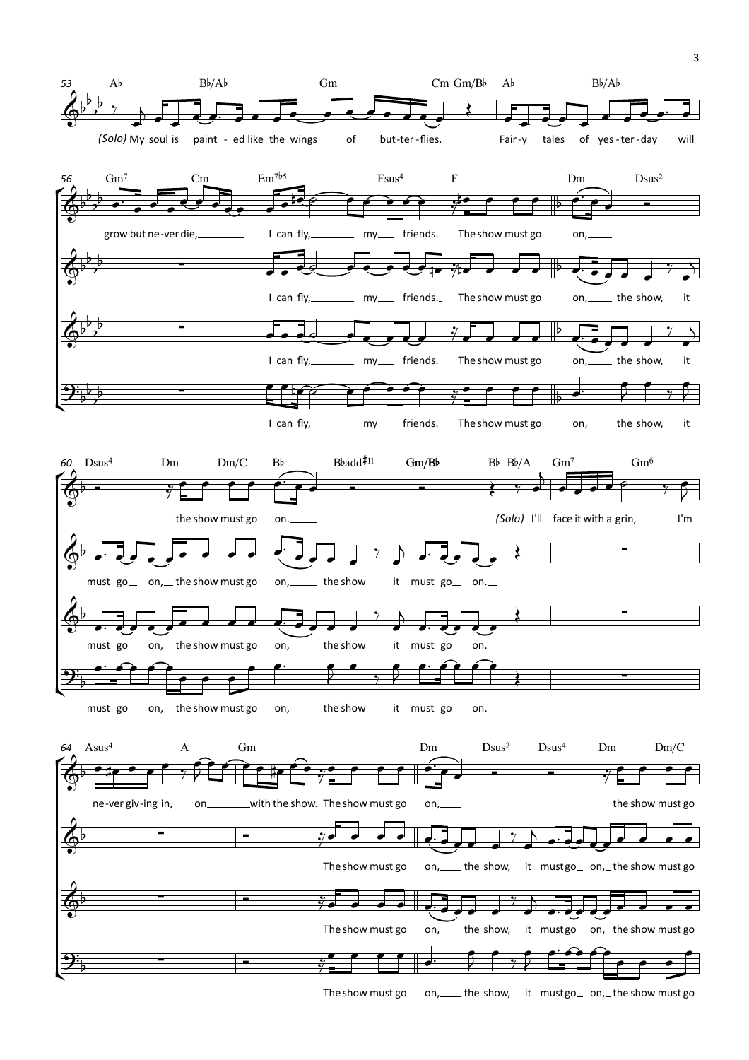